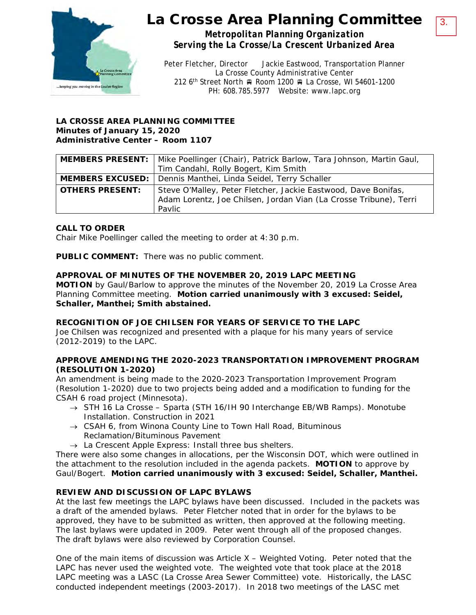

## La Crosse Area Planning Committee

3.

*Metropolitan Planning Organization Serving the La Crosse/La Crescent Urbanized Area*

Peter Fletcher, Director Jackie Eastwood, Transportation Planner La Crosse County Administrative Center 212 6<sup>th</sup> Street North Room 1200 R La Crosse, WI 54601-1200 PH: 608.785.5977 Website: www.lapc.org

#### **LA CROSSE AREA PLANNING COMMITTEE Minutes of January 15, 2020 Administrative Center – Room 1107**

|                        | MEMBERS PRESENT:   Mike Poellinger (Chair), Patrick Barlow, Tara Johnson, Martin Gaul, |
|------------------------|----------------------------------------------------------------------------------------|
|                        | Tim Candahl, Rolly Bogert, Kim Smith                                                   |
|                        | <b>MEMBERS EXCUSED:</b>   Dennis Manthei, Linda Seidel, Terry Schaller                 |
| <b>OTHERS PRESENT:</b> | Steve O'Malley, Peter Fletcher, Jackie Eastwood, Dave Bonifas,                         |
|                        | Adam Lorentz, Joe Chilsen, Jordan Vian (La Crosse Tribune), Terri                      |
|                        | Pavlic                                                                                 |

### **CALL TO ORDER**

Chair Mike Poellinger called the meeting to order at 4:30 p.m.

**PUBLIC COMMENT:** There was no public comment.

#### **APPROVAL OF MINUTES OF THE NOVEMBER 20, 2019 LAPC MEETING**

**MOTION** by Gaul/Barlow to approve the minutes of the November 20, 2019 La Crosse Area Planning Committee meeting. **Motion carried unanimously with 3 excused: Seidel, Schaller, Manthei; Smith abstained.**

#### **RECOGNITION OF JOE CHILSEN FOR YEARS OF SERVICE TO THE LAPC**

Joe Chilsen was recognized and presented with a plaque for his many years of service (2012-2019) to the LAPC.

#### **APPROVE AMENDING THE 2020-2023 TRANSPORTATION IMPROVEMENT PROGRAM (RESOLUTION 1-2020)**

An amendment is being made to the 2020-2023 Transportation Improvement Program (Resolution 1-2020) due to two projects being added and a modification to funding for the CSAH 6 road project (Minnesota).

- $\rightarrow$  STH 16 La Crosse Sparta (STH 16/IH 90 Interchange EB/WB Ramps). Monotube Installation. Construction in 2021
- $\rightarrow$  CSAH 6, from Winona County Line to Town Hall Road, Bituminous Reclamation/Bituminous Pavement
- $\rightarrow$  La Crescent Apple Express: Install three bus shelters.

There were also some changes in allocations, per the Wisconsin DOT, which were outlined in the attachment to the resolution included in the agenda packets. **MOTION** to approve by Gaul/Bogert. **Motion carried unanimously with 3 excused: Seidel, Schaller, Manthei.** 

#### **REVIEW AND DISCUSSION OF LAPC BYLAWS**

At the last few meetings the LAPC bylaws have been discussed. Included in the packets was a draft of the amended bylaws. Peter Fletcher noted that in order for the bylaws to be approved, they have to be submitted as written, then approved at the following meeting. The last bylaws were updated in 2009. Peter went through all of the proposed changes. The draft bylaws were also reviewed by Corporation Counsel.

One of the main items of discussion was Article X – Weighted Voting. Peter noted that the LAPC has never used the weighted vote. The weighted vote that took place at the 2018 LAPC meeting was a LASC (La Crosse Area Sewer Committee) vote. Historically, the LASC conducted independent meetings (2003-2017). In 2018 two meetings of the LASC met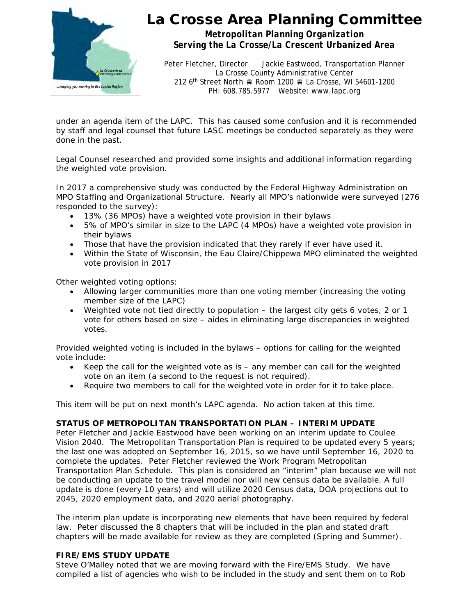

# La Crosse Area Planning Committee

*Metropolitan Planning Organization Serving the La Crosse/La Crescent Urbanized Area*

Peter Fletcher, Director Jackie Eastwood, Transportation Planner La Crosse County Administrative Center 212 6<sup>th</sup> Street North A Room 1200 A La Crosse, WI 54601-1200 PH: 608.785.5977 Website: www.lapc.org

under an agenda item of the LAPC. This has caused some confusion and it is recommended by staff and legal counsel that future LASC meetings be conducted separately as they were done in the past.

Legal Counsel researched and provided some insights and additional information regarding the weighted vote provision.

In 2017 a comprehensive study was conducted by the Federal Highway Administration on MPO Staffing and Organizational Structure. Nearly all MPO's nationwide were surveyed (276 responded to the survey):

- 13% (36 MPOs) have a weighted vote provision in their bylaws
- 5% of MPO's similar in size to the LAPC (4 MPOs) have a weighted vote provision in their bylaws
- Those that have the provision indicated that they rarely if ever have used it.
- Within the State of Wisconsin, the Eau Claire/Chippewa MPO eliminated the weighted vote provision in 2017

Other weighted voting options:

- Allowing larger communities more than one voting member (increasing the voting member size of the LAPC)
- Weighted vote not tied directly to population the largest city gets 6 votes, 2 or 1 vote for others based on size – aides in eliminating large discrepancies in weighted votes.

Provided weighted voting is included in the bylaws – options for calling for the weighted vote include:

- Keep the call for the weighted vote as is any member can call for the weighted vote on an item (a second to the request is not required).
- Require two members to call for the weighted vote in order for it to take place.

This item will be put on next month's LAPC agenda. No action taken at this time.

#### **STATUS OF METROPOLITAN TRANSPORTATION PLAN – INTERIM UPDATE**

Peter Fletcher and Jackie Eastwood have been working on an interim update to Coulee Vision 2040. The Metropolitan Transportation Plan is required to be updated every 5 years; the last one was adopted on September 16, 2015, so we have until September 16, 2020 to complete the updates. Peter Fletcher reviewed the Work Program Metropolitan Transportation Plan Schedule. This plan is considered an "interim" plan because we will not be conducting an update to the travel model nor will new census data be available. A full update is done (every 10 years) and will utilize 2020 Census data, DOA projections out to 2045, 2020 employment data, and 2020 aerial photography.

The interim plan update is incorporating new elements that have been required by federal law. Peter discussed the 8 chapters that will be included in the plan and stated draft chapters will be made available for review as they are completed (Spring and Summer).

#### **FIRE/EMS STUDY UPDATE**

Steve O'Malley noted that we are moving forward with the Fire/EMS Study. We have compiled a list of agencies who wish to be included in the study and sent them on to Rob